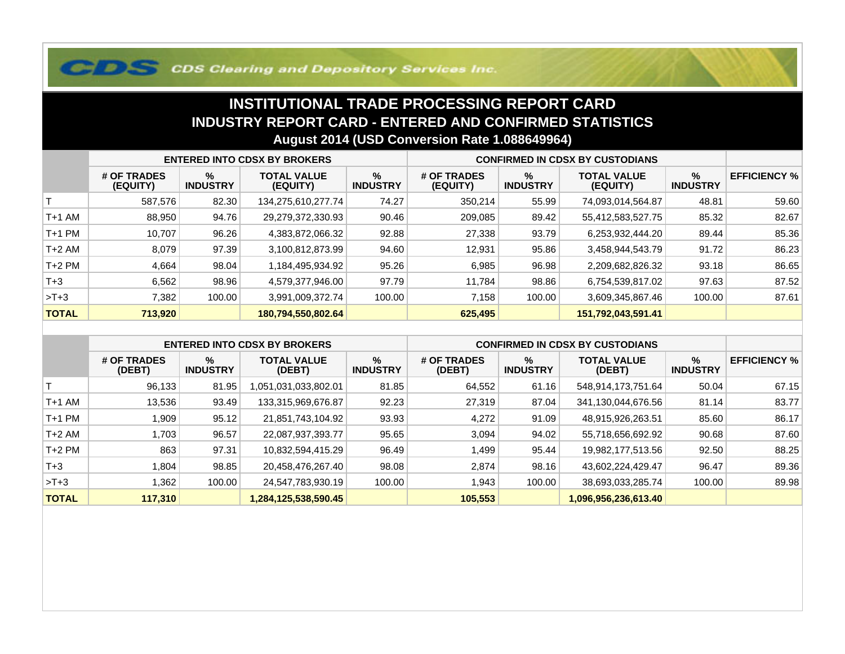## **COS Clearing and Depository Services Inc.**

## **INSTITUTIONAL TRADE PROCESSING REPORT CARD INDUSTRY REPORT CARD - ENTERED AND CONFIRMED STATISTICSAugust 2014 (USD Conversion Rate 1.088649964)**

|              | <b>ENTERED INTO CDSX BY BROKERS</b> |                         |                                |                         | <b>CONFIRMED IN CDSX BY CUSTODIANS</b> |                      |                                |                      |                     |
|--------------|-------------------------------------|-------------------------|--------------------------------|-------------------------|----------------------------------------|----------------------|--------------------------------|----------------------|---------------------|
|              | # OF TRADES<br>(EQUITY)             | $\%$<br><b>INDUSTRY</b> | <b>TOTAL VALUE</b><br>(EQUITY) | $\%$<br><b>INDUSTRY</b> | # OF TRADES<br>(EQUITY)                | %<br><b>INDUSTRY</b> | <b>TOTAL VALUE</b><br>(EQUITY) | %<br><b>INDUSTRY</b> | <b>EFFICIENCY %</b> |
|              | 587,576                             | 82.30                   | 134,275,610,277.74             | 74.27                   | 350,214                                | 55.99                | 74,093,014,564.87              | 48.81                | 59.60               |
| T+1 AM       | 88,950                              | 94.76                   | 29,279,372,330.93              | 90.46                   | 209,085                                | 89.42                | 55,412,583,527.75              | 85.32                | 82.67               |
| T+1 PM       | 10.707                              | 96.26                   | 4,383,872,066.32               | 92.88                   | 27,338                                 | 93.79                | 6,253,932,444.20               | 89.44                | 85.36               |
| T+2 AM       | 8,079                               | 97.39                   | 3,100,812,873.99               | 94.60                   | 12,931                                 | 95.86                | 3,458,944,543.79               | 91.72                | 86.23               |
| $T+2$ PM     | 4,664                               | 98.04                   | 1,184,495,934.92               | 95.26                   | 6,985                                  | 96.98                | 2,209,682,826.32               | 93.18                | 86.65               |
| $T+3$        | 6,562                               | 98.96                   | 4,579,377,946.00               | 97.79                   | 11.784                                 | 98.86                | 6,754,539,817.02               | 97.63                | 87.52               |
| $>T+3$       | 7,382                               | 100.00                  | 3,991,009,372.74               | 100.00                  | 7,158                                  | 100.00               | 3,609,345,867.46               | 100.00               | 87.61               |
| <b>TOTAL</b> | 713,920                             |                         | 180,794,550,802.64             |                         | 625,495                                |                      | 151,792,043,591.41             |                      |                     |

|              | <b>ENTERED INTO CDSX BY BROKERS</b> |                      |                              |                         | <b>CONFIRMED IN CDSX BY CUSTODIANS</b> |                      |                              |                         |                     |
|--------------|-------------------------------------|----------------------|------------------------------|-------------------------|----------------------------------------|----------------------|------------------------------|-------------------------|---------------------|
|              | # OF TRADES<br>(DEBT)               | %<br><b>INDUSTRY</b> | <b>TOTAL VALUE</b><br>(DEBT) | $\%$<br><b>INDUSTRY</b> | # OF TRADES<br>(DEBT)                  | %<br><b>INDUSTRY</b> | <b>TOTAL VALUE</b><br>(DEBT) | $\%$<br><b>INDUSTRY</b> | <b>EFFICIENCY %</b> |
|              | 96,133                              | 81.95                | ,051,031,033,802.01          | 81.85                   | 64,552                                 | 61.16                | 548,914,173,751.64           | 50.04                   | 67.15               |
| $T+1$ AM     | 13,536                              | 93.49                | 133,315,969,676.87           | 92.23                   | 27,319                                 | 87.04                | 341,130,044,676.56           | 81.14                   | 83.77               |
| $T+1$ PM     | 909, ا                              | 95.12                | 21,851,743,104.92            | 93.93                   | 4,272                                  | 91.09                | 48,915,926,263.51            | 85.60                   | 86.17               |
| $T+2$ AM     | .703                                | 96.57                | 22,087,937,393.77            | 95.65                   | 3,094                                  | 94.02                | 55,718,656,692.92            | 90.68                   | 87.60               |
| $T+2$ PM     | 863                                 | 97.31                | 10,832,594,415.29            | 96.49                   | ,499                                   | 95.44                | 19,982,177,513.56            | 92.50                   | 88.25               |
| $T+3$        | .804                                | 98.85                | 20,458,476,267.40            | 98.08                   | 2.874                                  | 98.16                | 43,602,224,429.47            | 96.47                   | 89.36               |
| $>T+3$       | .362                                | 100.00               | 24,547,783,930.19            | 100.00                  | 943. ا                                 | 100.00               | 38,693,033,285.74            | 100.00                  | 89.98               |
| <b>TOTAL</b> | 117,310                             |                      | 1,284,125,538,590.45         |                         | 105,553                                |                      | 1,096,956,236,613.40         |                         |                     |